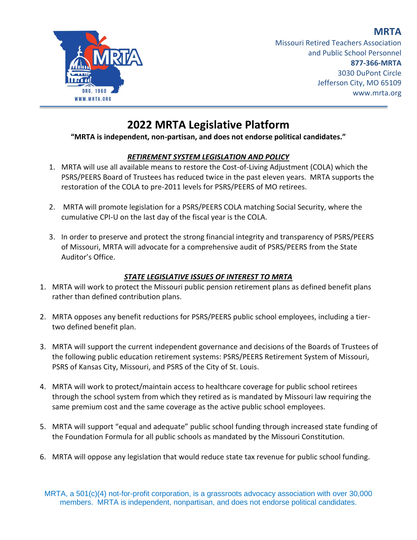**MRTA**



Missouri Retired Teachers Association and Public School Personnel **877-366-MRTA** 3030 DuPont Circle Jefferson City, MO 65109 www.mrta.org

# **2022 MRTA Legislative Platform**

#### **"MRTA is independent, non-partisan, and does not endorse political candidates."**

## *RETIREMENT SYSTEM LEGISLATION AND POLICY*

- 1. MRTA will use all available means to restore the Cost-of-Living Adjustment (COLA) which the PSRS/PEERS Board of Trustees has reduced twice in the past eleven years. MRTA supports the restoration of the COLA to pre-2011 levels for PSRS/PEERS of MO retirees.
- 2. MRTA will promote legislation for a PSRS/PEERS COLA matching Social Security, where the cumulative CPI-U on the last day of the fiscal year is the COLA.
- 3. In order to preserve and protect the strong financial integrity and transparency of PSRS/PEERS of Missouri, MRTA will advocate for a comprehensive audit of PSRS/PEERS from the State Auditor's Office.

## *STATE LEGISLATIVE ISSUES OF INTEREST TO MRTA*

- 1. MRTA will work to protect the Missouri public pension retirement plans as defined benefit plans rather than defined contribution plans.
- 2. MRTA opposes any benefit reductions for PSRS/PEERS public school employees, including a tiertwo defined benefit plan.
- 3. MRTA will support the current independent governance and decisions of the Boards of Trustees of the following public education retirement systems: PSRS/PEERS Retirement System of Missouri, PSRS of Kansas City, Missouri, and PSRS of the City of St. Louis.
- 4. MRTA will work to protect/maintain access to healthcare coverage for public school retirees through the school system from which they retired as is mandated by Missouri law requiring the same premium cost and the same coverage as the active public school employees.
- 5. MRTA will support "equal and adequate" public school funding through increased state funding of the Foundation Formula for all public schools as mandated by the Missouri Constitution.
- 6. MRTA will oppose any legislation that would reduce state tax revenue for public school funding.

MRTA, a 501(c)(4) not-for-profit corporation, is a grassroots advocacy association with over 30,000 members. MRTA is independent, nonpartisan, and does not endorse political candidates.